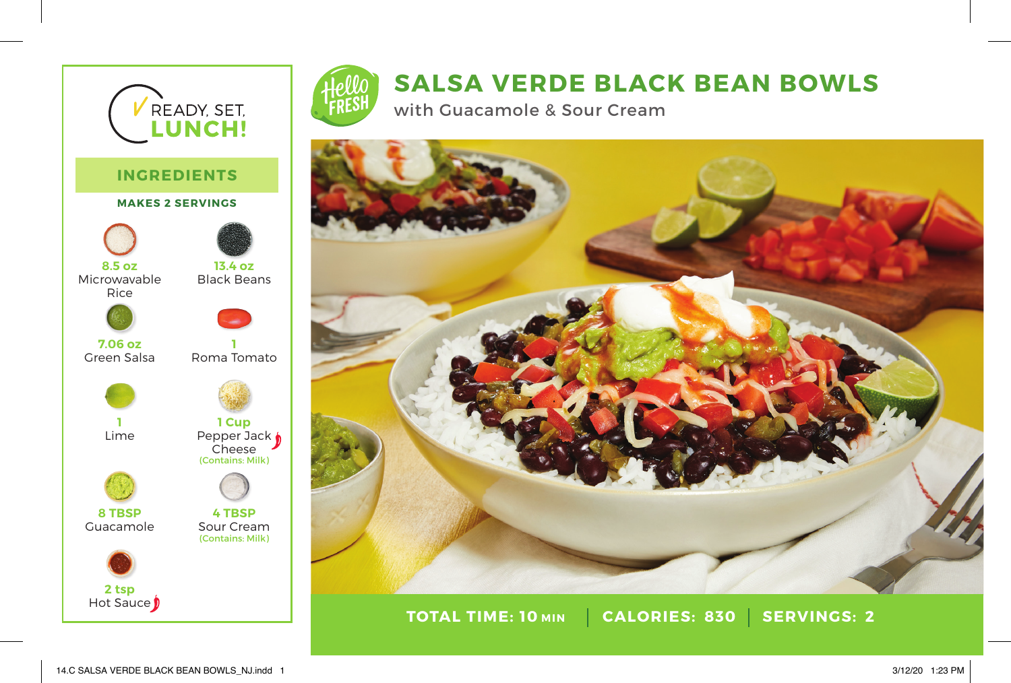

## **SALSA VERDE BLACK BEAN BOWLS**

with Guacamole & Sour Cream



**TOTAL TIME: CALORIES: SERVINGS: 2 10 830 TOTAL TIME: 10 MIN**